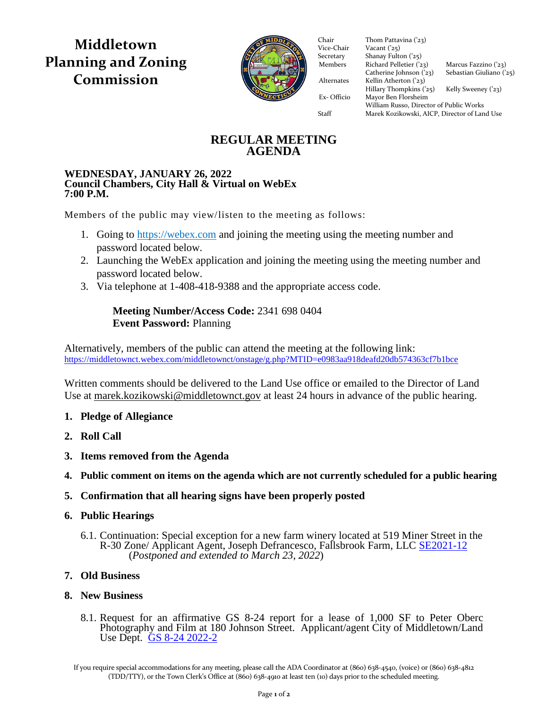**Middletown Planning and Zoning Commission**



Chair Thom Pattav<br>Vice-Chair Vacant ('25) Vice-Chair

Secretary Shanay Fulton ('25) Members Richard Pelletier  $(23)$  Marcus Fazzino  $(23)$ Catherine Johnson  $(23)$  Sebastian Giuliano  $(25)$ Alternates Kellin Atherton ('23)  $Hillary Thompson (25)$  Kelly Sweeney ('23) Ex- Officio Mayor Ben Florsheim Ex- Officio Mayor Ben Florsheim Thom Pattavina ('23) William Russo, Director of Public Works Staff Marek Kozikowski, AICP, Director of Land Use

**REGULAR MEETING AGENDA**

#### **WEDNESDAY, JANUARY 26, 2022 Council Chambers, City Hall & Virtual on WebEx 7:00 P.M.**

Members of the public may view/listen to the meeting as follows:

- 1. Going to [https://webex.com](https://webex.com/) and joining the meeting using the meeting number and password located below.
- 2. Launching the WebEx application and joining the meeting using the meeting number and password located below.
- 3. Via telephone at 1-408-418-9388 and the appropriate access code.

# **Meeting Number/Access Code:** 2341 698 0404 **Event Password:** Planning

Alternatively, members of the public can attend the meeting at the following link: <https://middletownct.webex.com/middletownct/onstage/g.php?MTID=e0983aa918deafd20db574363cf7b1bce>

Written comments should be delivered to the Land Use office or emailed to the Director of Land Use at [marek.kozikowski@middletownct.gov](mailto:marek.kozikowski@middletownct.gov) at least 24 hours in advance of the public hearing.

- **1. Pledge of Allegiance**
- **2. Roll Call**
- **3. Items removed from the Agenda**
- **4. Public comment on items on the agenda which are not currently scheduled for a public hearing**
- **5. Confirmation that all hearing signs have been properly posted**
- **6. Public Hearings**
	- 6.1. Continuation: Special exception for a new farm winery located at 519 Miner Street in the R-30 Zone/ Applicant Agent, Joseph Defrancesco, Fallsbrook Farm, LLC [SE2021-12](https://middletownct.box.com/s/stk121rel15cyuw24lgvdq7fetw040qw) (*Postponed and extended to March 23, 2022*)

# **7. Old Business**

## **8. New Business**

8.1. Request for an affirmative GS 8-24 report for a lease of 1,000 SF to Peter Oberc Photography and Film at 180 Johnson Street. Applicant/agent City of Middletown/Land Use Dept. [GS 8-24 2022-2](https://middletownct.box.com/s/gn9am50ui8rful69zr8gawst0oihru0l)

If you require special accommodations for any meeting, please call the ADA Coordinator at (860) 638-4540, (voice) or (860) 638-4812 (TDD/TTY), or the Town Clerk's Office at (860) 638-4910 at least ten (10) days prior to the scheduled meeting.